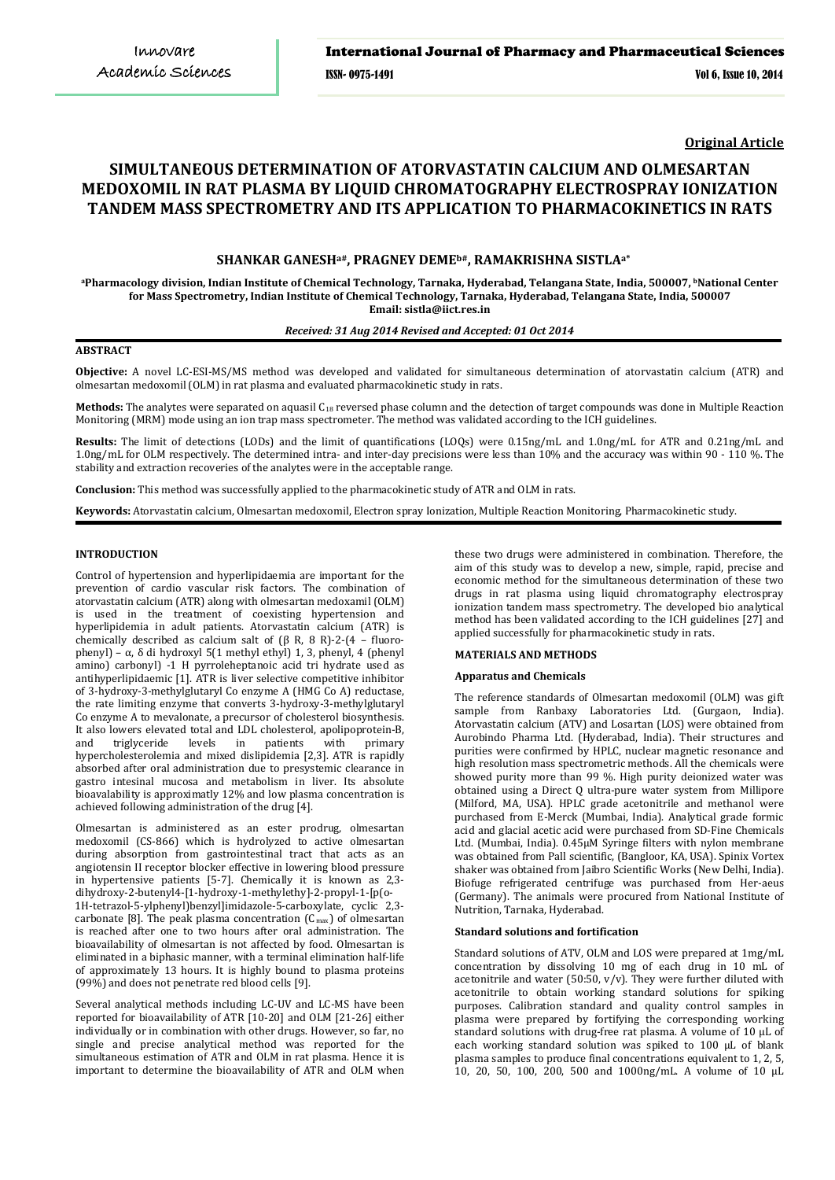**Original Article**

# **SIMULTANEOUS DETERMINATION OF ATORVASTATIN CALCIUM AND OLMESARTAN MEDOXOMIL IN RAT PLASMA BY LIQUID CHROMATOGRAPHY ELECTROSPRAY IONIZATION TANDEM MASS SPECTROMETRY AND ITS APPLICATION TO PHARMACOKINETICS IN RATS**

# **SHANKAR GANESHa#, PRAGNEY DEMEb#, RAMAKRISHNA SISTLAa\***

**<sup>a</sup>Pharmacology division, Indian Institute of Chemical Technology, Tarnaka, Hyderabad, Telangana State, India, 500007, <sup>b</sup>National Center for Mass Spectrometry, Indian Institute of Chemical Technology, Tarnaka, Hyderabad, Telangana State, India, 500007 Email: sistla@iict.res.in**

# *Received: 31 Aug 2014 Revised and Accepted: 01 Oct 2014*

# **ABSTRACT**

**Objective:** A novel LC-ESI-MS/MS method was developed and validated for simultaneous determination of atorvastatin calcium (ATR) and olmesartan medoxomil (OLM) in rat plasma and evaluated pharmacokinetic study in rats.

**Methods:** The analytes were separated on aquasil C18 reversed phase column and the detection of target compounds was done in Multiple Reaction Monitoring (MRM) mode using an ion trap mass spectrometer. The method was validated according to the ICH guidelines.

**Results:** The limit of detections (LODs) and the limit of quantifications (LOQs) were 0.15ng/mL and 1.0ng/mL for ATR and 0.21ng/mL and 1.0ng/mL for OLM respectively. The determined intra- and inter-day precisions were less than 10% and the accuracy was within 90 - 110 %. The stability and extraction recoveries of the analytes were in the acceptable range.

**Conclusion:** This method was successfully applied to the pharmacokinetic study of ATR and OLM in rats.

**Keywords:** Atorvastatin calcium, Olmesartan medoxomil, Electron spray Ionization, Multiple Reaction Monitoring, Pharmacokinetic study.

#### **INTRODUCTION**

Control of hypertension and hyperlipidaemia are important for the prevention of cardio vascular risk factors. The combination of atorvastatin calcium (ATR) along with olmesartan medoxamil (OLM) is used in the treatment of coexisting hypertension and hyperlipidemia in adult patients. Atorvastatin calcium (ATR) is chemically described as calcium salt of  $(\beta \text{ R}, 8 \text{ R})$ -2- $(4 - \text{fluoro-}$ phenyl) – α, δ di hydroxyl 5(1 methyl ethyl) 1, 3, phenyl, 4 (phenyl amino) carbonyl) -1 H pyrroleheptanoic acid tri hydrate used as antihyperlipidaemic [1]. ATR is liver selective competitive inhibitor of 3-hydroxy-3-methylglutaryl Co enzyme A (HMG Co A) reductase, the rate limiting enzyme that converts 3-hydroxy-3-methylglutaryl Co enzyme A to mevalonate, a precursor of cholesterol biosynthesis. It also lowers elevated total and LDL cholesterol, apolipoprotein-B, and triglyceride levels in patients with primary triglyceride levels in hypercholesterolemia and mixed dislipidemia [2,3]. ATR is rapidly absorbed after oral administration due to presystemic clearance in gastro intesinal mucosa and metabolism in liver. Its absolute bioavalability is approximatly 12% and low plasma concentration is achieved following administration of the drug [4].

Olmesartan is administered as an ester prodrug, olmesartan medoxomil (CS-866) which is hydrolyzed to active olmesartan during absorption from gastrointestinal tract that acts as an angiotensin II receptor blocker effective in lowering blood pressure in hypertensive patients [5-7]. Chemically it is known as 2,3 dihydroxy-2-butenyl4-[1-hydroxy-1-methylethy]-2-propyl-1-[p(o-1H-tetrazol-5-ylphenyl)benzyl]imidazole-5-carboxylate, cyclic 2,3 carbonate [8]. The peak plasma concentration (C<sub>max</sub>) of olmesartan is reached after one to two hours after oral administration. The bioavailability of olmesartan is not affected by food. Olmesartan is eliminated in a biphasic manner, with a terminal elimination half-life of approximately 13 hours. It is highly bound to plasma proteins (99%) and does not penetrate red blood cells [9].

Several analytical methods including LC-UV and LC-MS have been reported for bioavailability of ATR [10-20] and OLM [21-26] either individually or in combination with other drugs. However, so far, no single and precise analytical method was reported for the simultaneous estimation of ATR and OLM in rat plasma. Hence it is important to determine the bioavailability of ATR and OLM when

these two drugs were administered in combination. Therefore, the aim of this study was to develop a new, simple, rapid, precise and economic method for the simultaneous determination of these two drugs in rat plasma using liquid chromatography electrospray ionization tandem mass spectrometry. The developed bio analytical method has been validated according to the ICH guidelines [27] and applied successfully for pharmacokinetic study in rats.

#### **MATERIALS AND METHODS**

#### **Apparatus and Chemicals**

The reference standards of Olmesartan medoxomil (OLM) was gift sample from Ranbaxy Laboratories Ltd. (Gurgaon, India). Atorvastatin calcium (ATV) and Losartan (LOS) were obtained from Aurobindo Pharma Ltd. (Hyderabad, India). Their structures and purities were confirmed by HPLC, nuclear magnetic resonance and high resolution mass spectrometric methods. All the chemicals were showed purity more than 99 %. High purity deionized water was obtained using a Direct Q ultra-pure water system from Millipore (Milford, MA, USA). HPLC grade acetonitrile and methanol were purchased from E-Merck (Mumbai, India). Analytical grade formic acid and glacial acetic acid were purchased from SD-Fine Chemicals Ltd. (Mumbai, India). 0.45µM Syringe filters with nylon membrane was obtained from Pall scientific, (Bangloor, KA, USA). Spinix Vortex shaker was obtained from Jaibro Scientific Works (New Delhi, India). Biofuge refrigerated centrifuge was purchased from Her-aeus (Germany). The animals were procured from National Institute of Nutrition, Tarnaka, Hyderabad.

### **Standard solutions and fortification**

Standard solutions of ATV, OLM and LOS were prepared at 1mg/mL concentration by dissolving 10 mg of each drug in 10 mL of acetonitrile and water (50:50,  $v/v$ ). They were further diluted with acetonitrile to obtain working standard solutions for spiking purposes. Calibration standard and quality control samples in plasma were prepared by fortifying the corresponding working standard solutions with drug-free rat plasma. A volume of 10 µL of each working standard solution was spiked to 100 µL of blank plasma samples to produce final concentrations equivalent to 1, 2, 5, 10, 20, 50, 100, 200, 500 and 1000ng/mL. A volume of 10 µL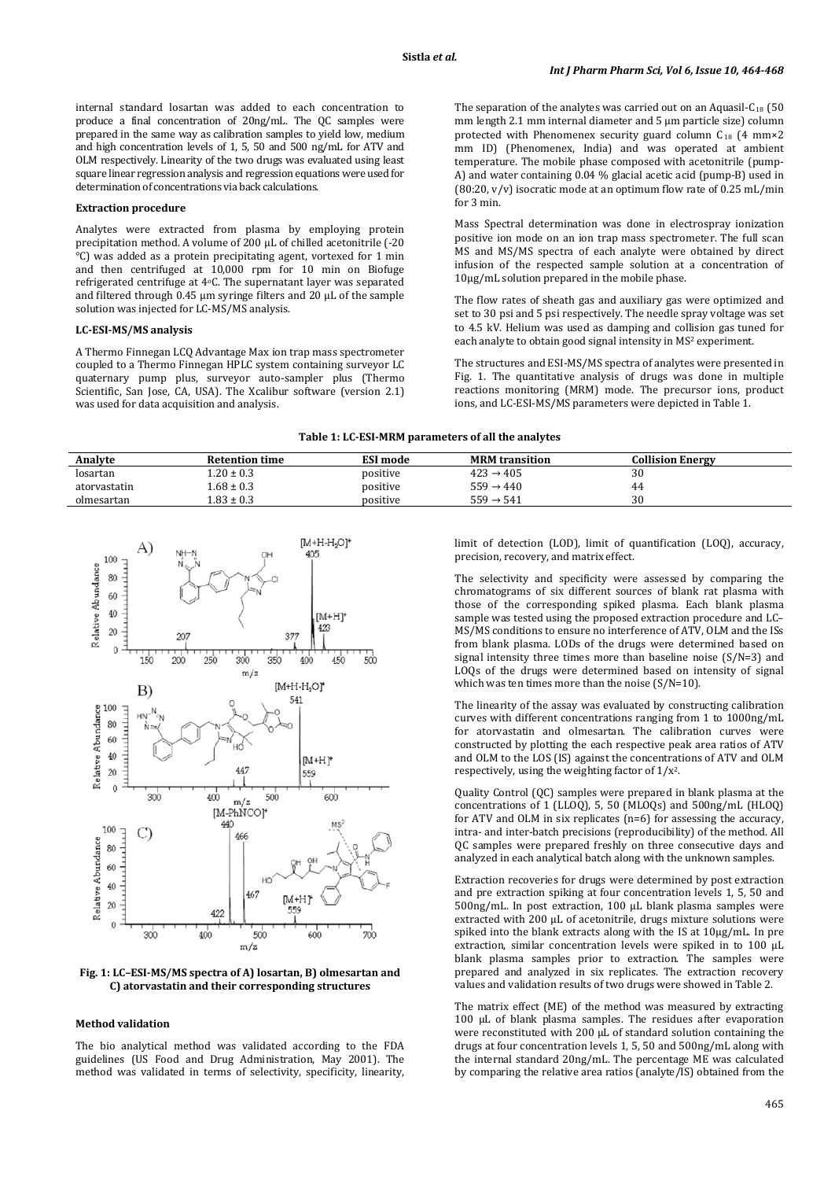internal standard losartan was added to each concentration to produce a final concentration of 20ng/mL. The QC samples were prepared in the same way as calibration samples to yield low, medium and high concentration levels of 1, 5, 50 and 500 ng/mL for ATV and OLM respectively. Linearity of the two drugs was evaluated using least square linear regression analysis and regression equations were used for determination of concentrations via back calculations.

#### **Extraction procedure**

Analytes were extracted from plasma by employing protein precipitation method. A volume of 200 µL of chilled acetonitrile (-20  $\rm{^{\circ}C}$ ) was added as a protein precipitating agent, vortexed for 1 min and then centrifuged at 10,000 rpm for 10 min on Biofuge refrigerated centrifuge at 4o C. The supernatant layer was separated and filtered through 0.45 µm syringe filters and 20 µL of the sample solution was injected for LC-MS/MS analysis.

# **LC-ESI-MS/MS analysis**

A Thermo Finnegan LCQ Advantage Max ion trap mass spectrometer coupled to a Thermo Finnegan HPLC system containing surveyor LC quaternary pump plus, surveyor auto-sampler plus (Thermo Scientific, San Jose, CA, USA). The Xcalibur software (version 2.1) was used for data acquisition and analysis.

The separation of the analytes was carried out on an Aquasil- $C_{18}$  (50 mm length 2.1 mm internal diameter and 5 µm particle size) column protected with Phenomenex security guard column C18 (4 mm×2 mm ID) (Phenomenex, India) and was operated at ambient temperature. The mobile phase composed with acetonitrile (pump-A) and water containing 0.04 % glacial acetic acid (pump-B) used in (80:20, v/v) isocratic mode at an optimum flow rate of 0.25 mL/min for 3 min.

Mass Spectral determination was done in electrospray ionization positive ion mode on an ion trap mass spectrometer. The full scan MS and MS/MS spectra of each analyte were obtained by direct infusion of the respected sample solution at a concentration of 10µg/mL solution prepared in the mobile phase.

The flow rates of sheath gas and auxiliary gas were optimized and set to 30 psi and 5 psi respectively. The needle spray voltage was set to 4.5 kV. Helium was used as damping and collision gas tuned for each analyte to obtain good signal intensity in MS<sup>2</sup> experiment.

The structures and ESI-MS/MS spectra of analytes were presented in Fig. 1. The quantitative analysis of drugs was done in multiple reactions monitoring (MRM) mode. The precursor ions, product ions, and LC-ESI-MS/MS parameters were depicted in Table 1.

#### **Table 1: LC-ESI-MRM parameters of all the analytes**

| Analyte      | <b>Retention time</b> | <b>ESI mode</b> | <b>MRM</b> transition | <b>Collision Energy</b> |  |
|--------------|-----------------------|-----------------|-----------------------|-------------------------|--|
| losartan     | $.20 \pm 0.3$         | positive        | $423 \rightarrow 405$ | 30                      |  |
| atorvastatin | $1.68 \pm 0.3$        | positive        | $559 \rightarrow 440$ | 44                      |  |
| olmesartan   | $0.83 \pm 0.3$        | positive        | $559 \rightarrow 541$ | 30                      |  |



**Fig. 1: LC–ESI-MS/MS spectra of A) losartan, B) olmesartan and C) atorvastatin and their corresponding structures**

# **Method validation**

The bio analytical method was validated according to the FDA guidelines (US Food and Drug Administration, May 2001). The method was validated in terms of selectivity, specificity, linearity,

limit of detection (LOD), limit of quantification (LOQ), accuracy, precision, recovery, and matrix effect.

The selectivity and specificity were assessed by comparing the chromatograms of six different sources of blank rat plasma with those of the corresponding spiked plasma. Each blank plasma sample was tested using the proposed extraction procedure and LC– MS/MS conditions to ensure no interference of ATV, OLM and the ISs from blank plasma. LODs of the drugs were determined based on signal intensity three times more than baseline noise (S/N=3) and LOQs of the drugs were determined based on intensity of signal which was ten times more than the noise (S/N=10).

The linearity of the assay was evaluated by constructing calibration curves with different concentrations ranging from 1 to 1000ng/mL for atorvastatin and olmesartan. The calibration curves were constructed by plotting the each respective peak area ratios of ATV and OLM to the LOS (IS) against the concentrations of ATV and OLM respectively, using the weighting factor of 1/x2 .

Quality Control (QC) samples were prepared in blank plasma at the concentrations of 1 (LLOQ), 5, 50 (MLOQs) and 500ng/mL (HLOQ) for ATV and OLM in six replicates (n=6) for assessing the accuracy, intra- and inter-batch precisions (reproducibility) of the method. All QC samples were prepared freshly on three consecutive days and analyzed in each analytical batch along with the unknown samples.

Extraction recoveries for drugs were determined by post extraction and pre extraction spiking at four concentration levels 1, 5, 50 and 500ng/mL. In post extraction, 100 µL blank plasma samples were extracted with 200 µL of acetonitrile, drugs mixture solutions were spiked into the blank extracts along with the IS at 10µg/mL. In pre extraction, similar concentration levels were spiked in to 100 µL blank plasma samples prior to extraction. The samples were prepared and analyzed in six replicates. The extraction recovery values and validation results of two drugs were showed in Table 2.

The matrix effect (ME) of the method was measured by extracting 100 µL of blank plasma samples. The residues after evaporation were reconstituted with 200 µL of standard solution containing the drugs at four concentration levels 1, 5, 50 and 500ng/mL along with the internal standard 20ng/mL. The percentage ME was calculated by comparing the relative area ratios (analyte/IS) obtained from the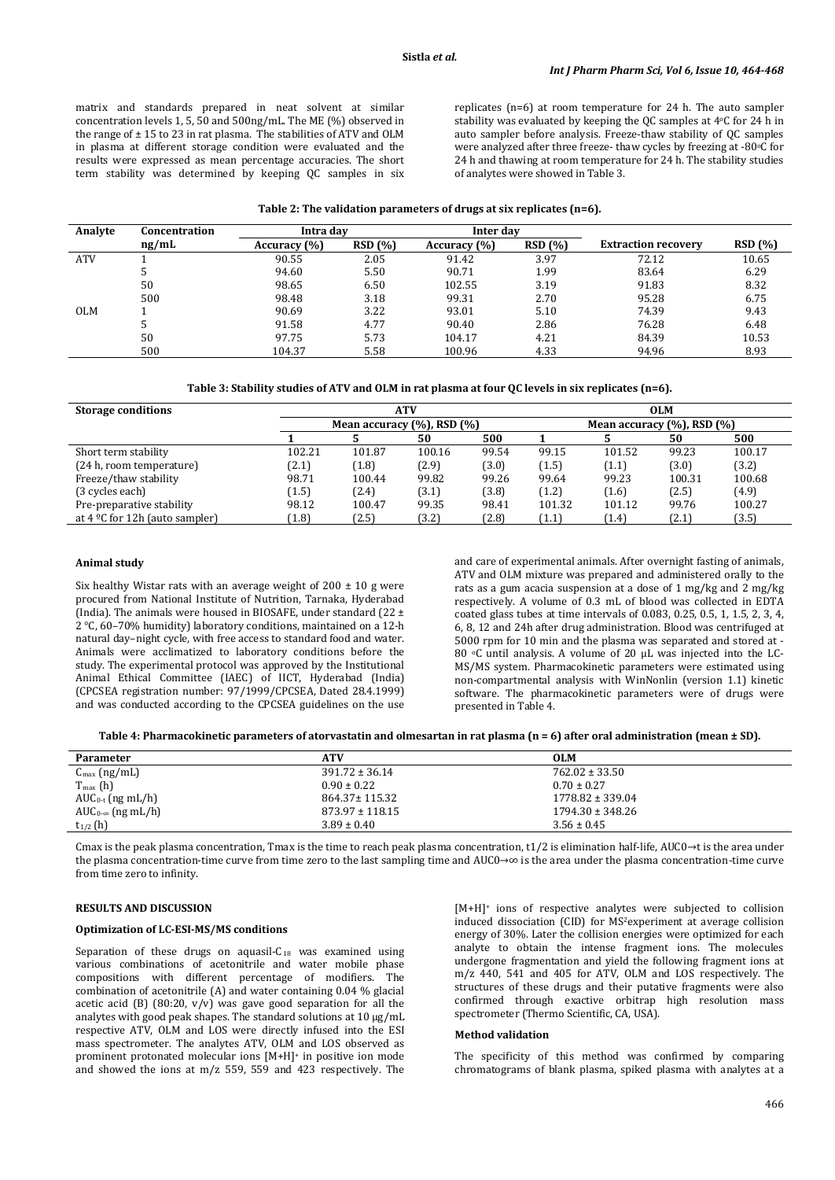matrix and standards prepared in neat solvent at similar concentration levels 1, 5, 50 and 500ng/mL. The ME (%) observed in the range of  $\pm$  15 to 23 in rat plasma. The stabilities of ATV and OLM in plasma at different storage condition were evaluated and the results were expressed as mean percentage accuracies. The short term stability was determined by keeping QC samples in six replicates (n=6) at room temperature for 24 h. The auto sampler stability was evaluated by keeping the QC samples at 4oC for 24 h in auto sampler before analysis. Freeze-thaw stability of QC samples were analyzed after three freeze- thaw cycles by freezing at -80°C for 24 h and thawing at room temperature for 24 h. The stability studies of analytes were showed in Table 3.

| Analyte    | Concentration | Intra dav    |        | Inter day    |        |                            |                |
|------------|---------------|--------------|--------|--------------|--------|----------------------------|----------------|
|            | ng/mL         | Accuracy (%) | RSD(%) | Accuracy (%) | RSD(%) | <b>Extraction recovery</b> | <b>RSD</b> (%) |
| <b>ATV</b> |               | 90.55        | 2.05   | 91.42        | 3.97   | 72.12                      | 10.65          |
|            |               | 94.60        | 5.50   | 90.71        | 1.99   | 83.64                      | 6.29           |
|            | 50            | 98.65        | 6.50   | 102.55       | 3.19   | 91.83                      | 8.32           |
|            | 500           | 98.48        | 3.18   | 99.31        | 2.70   | 95.28                      | 6.75           |
| <b>OLM</b> |               | 90.69        | 3.22   | 93.01        | 5.10   | 74.39                      | 9.43           |
|            |               | 91.58        | 4.77   | 90.40        | 2.86   | 76.28                      | 6.48           |
|            | 50            | 97.75        | 5.73   | 104.17       | 4.21   | 84.39                      | 10.53          |
|            | 500           | 104.37       | 5.58   | 100.96       | 4.33   | 94.96                      | 8.93           |

| <b>Storage conditions</b>                  | <b>ATV</b>                        |        |        | <b>OLM</b>                        |        |        |        |        |
|--------------------------------------------|-----------------------------------|--------|--------|-----------------------------------|--------|--------|--------|--------|
|                                            | Mean accuracy $(\%)$ , RSD $(\%)$ |        |        | Mean accuracy $(\%)$ , RSD $(\%)$ |        |        |        |        |
|                                            |                                   |        | 50     | 500                               |        |        | 50     | 500    |
| Short term stability                       | 102.21                            | 101.87 | 100.16 | 99.54                             | 99.15  | 101.52 | 99.23  | 100.17 |
| (24 h, room temperature)                   | (2.1)                             | (1.8)  | (2.9)  | (3.0)                             | (1.5)  | (1.1)  | (3.0)  | (3.2)  |
| Freeze/thaw stability                      | 98.71                             | 100.44 | 99.82  | 99.26                             | 99.64  | 99.23  | 100.31 | 100.68 |
| (3 cycles each)                            | (1.5)                             | (2.4)  | (3.1)  | (3.8)                             | (1.2)  | (1.6)  | (2.5)  | (4.9)  |
| Pre-preparative stability                  | 98.12                             | 100.47 | 99.35  | 98.41                             | 101.32 | 101.12 | 99.76  | 100.27 |
| at $4 \, \text{°C}$ for 12h (auto sampler) | (1.8)                             | (2.5)  | (3.2)  | (2.8)                             | (1.1)  | 1.4    | (2.1)  | (3.5)  |

#### **Animal study**

Six healthy Wistar rats with an average weight of  $200 \pm 10$  g were procured from National Institute of Nutrition, Tarnaka, Hyderabad (India). The animals were housed in BIOSAFE, under standard (22 ± 2 °C, 60–70% humidity) laboratory conditions, maintained on a 12-h natural day–night cycle, with free access to standard food and water. Animals were acclimatized to laboratory conditions before the study. The experimental protocol was approved by the Institutional Animal Ethical Committee (IAEC) of IICT, Hyderabad (India) (CPCSEA registration number: 97/1999/CPCSEA, Dated 28.4.1999) and was conducted according to the CPCSEA guidelines on the use and care of experimental animals. After overnight fasting of animals, ATV and OLM mixture was prepared and administered orally to the rats as a gum acacia suspension at a dose of 1 mg/kg and 2 mg/kg respectively. A volume of 0.3 mL of blood was collected in EDTA coated glass tubes at time intervals of 0.083, 0.25, 0.5, 1, 1.5, 2, 3, 4, 6, 8, 12 and 24h after drug administration. Blood was centrifuged at 5000 rpm for 10 min and the plasma was separated and stored at - 80 °C until analysis. A volume of 20 µL was injected into the LC-MS/MS system. Pharmacokinetic parameters were estimated using non-compartmental analysis with WinNonlin (version 1.1) kinetic software. The pharmacokinetic parameters were of drugs were presented in Table 4.

**Table 4: Pharmacokinetic parameters of atorvastatin and olmesartan in rat plasma (n = 6) after oral administration (mean ± SD).**

| Parameter                 | <b>ATV</b>          | <b>OLM</b>           |
|---------------------------|---------------------|----------------------|
| $C_{\text{max}}$ (ng/mL)  | $391.72 \pm 36.14$  | $762.02 \pm 33.50$   |
| $T_{\text{max}}$ (h)      | $0.90 \pm 0.22$     | $0.70 \pm 0.27$      |
| $AUC_{0-t}$ (ng mL/h)     | 864.37± 115.32      | $1778.82 \pm 339.04$ |
| $AUC_0 \propto$ (ng mL/h) | $873.97 \pm 118.15$ | $1794.30 \pm 348.26$ |
| $t_{1/2}$ (h)             | $3.89 \pm 0.40$     | $3.56 \pm 0.45$      |

Cmax is the peak plasma concentration, Tmax is the time to reach peak plasma concentration, t1/2 is elimination half-life, AUC0 $\rightarrow$ t is the area under the plasma concentration-time curve from time zero to the last sampling time and AUC0→∞ is the area under the plasma concentration-time curve from time zero to infinity.

#### **RESULTS AND DISCUSSION**

#### **Optimization of LC-ESI-MS/MS conditions**

Separation of these drugs on aquasil- $C_{18}$  was examined using various combinations of acetonitrile and water mobile phase compositions with different percentage of modifiers. The combination of acetonitrile (A) and water containing 0.04 % glacial acetic acid (B) (80:20,  $v/v$ ) was gave good separation for all the analytes with good peak shapes. The standard solutions at 10 µg/mL respective ATV, OLM and LOS were directly infused into the ESI mass spectrometer. The analytes ATV, OLM and LOS observed as prominent protonated molecular ions [M+H]+ in positive ion mode and showed the ions at m/z 559, 559 and 423 respectively. The

[M+H]+ ions of respective analytes were subjected to collision induced dissociation (CID) for MS2 experiment at average collision energy of 30%. Later the collision energies were optimized for each analyte to obtain the intense fragment ions. The molecules undergone fragmentation and yield the following fragment ions at m/z 440, 541 and 405 for ATV, OLM and LOS respectively. The structures of these drugs and their putative fragments were also confirmed through exactive orbitrap high resolution mass spectrometer (Thermo Scientific, CA, USA).

# **Method validation**

The specificity of this method was confirmed by comparing chromatograms of blank plasma, spiked plasma with analytes at a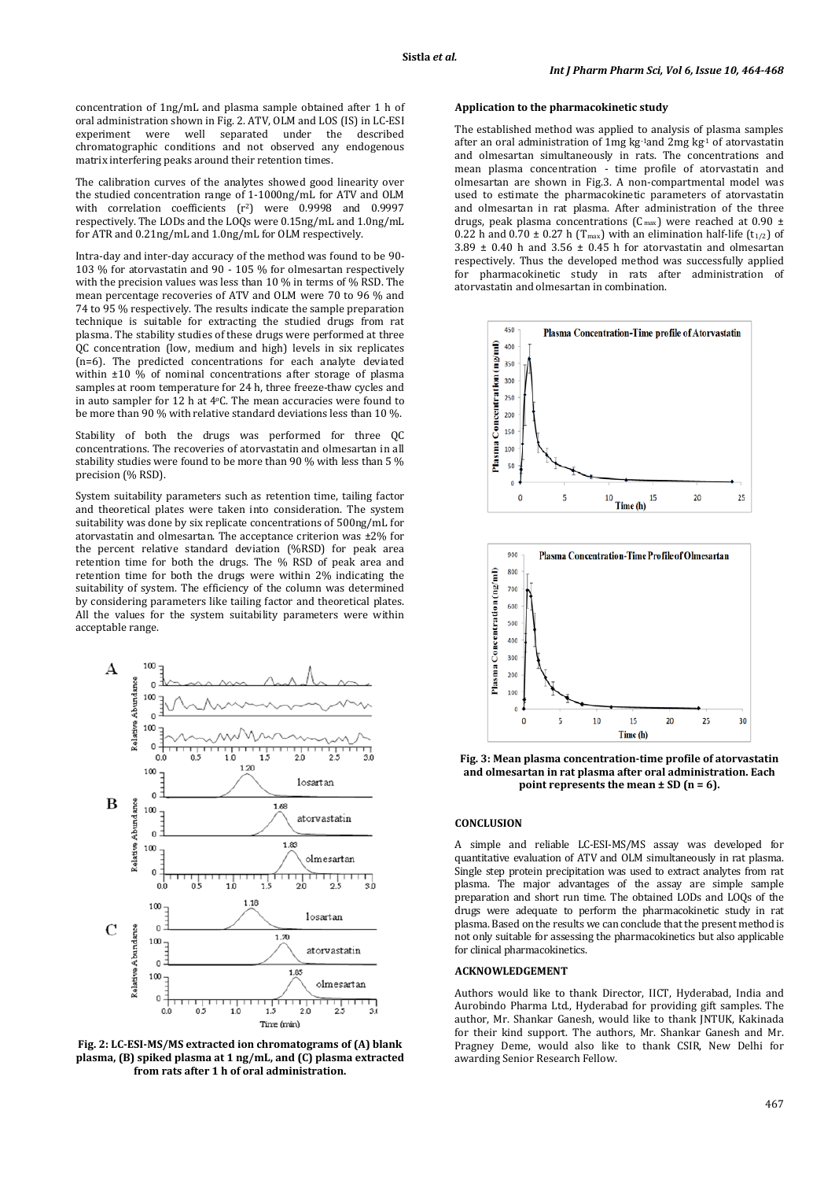concentration of 1ng/mL and plasma sample obtained after 1 h of oral administration shown in Fig. 2. ATV, OLM and LOS (IS) in LC-ESI<br>experiment were well separated under the described experiment were well separated under the described chromatographic conditions and not observed any endogenous matrix interfering peaks around their retention times.

The calibration curves of the analytes showed good linearity over the studied concentration range of 1-1000ng/mL for ATV and OLM with correlation coefficients (r<sup>2</sup>) were 0.9998 and 0.9997 respectively. The LODs and the LOQs were 0.15ng/mL and 1.0ng/mL for ATR and 0.21ng/mL and 1.0ng/mL for OLM respectively.

Intra-day and inter-day accuracy of the method was found to be 90- 103 % for atorvastatin and 90 - 105 % for olmesartan respectively with the precision values was less than 10 % in terms of % RSD. The mean percentage recoveries of ATV and OLM were 70 to 96 % and 74 to 95 % respectively. The results indicate the sample preparation technique is suitable for extracting the studied drugs from rat plasma. The stability studies of these drugs were performed at three QC concentration (low, medium and high) levels in six replicates (n=6). The predicted concentrations for each analyte deviated within  $\pm 10\%$  of nominal concentrations after storage of plasma samples at room temperature for 24 h, three freeze-thaw cycles and in auto sampler for 12 h at 4 o C. The mean accuracies were found to be more than 90 % with relative standard deviations less than 10 %.

Stability of both the drugs was performed for three QC concentrations. The recoveries of atorvastatin and olmesartan in all stability studies were found to be more than 90 % with less than 5 % precision (% RSD).

System suitability parameters such as retention time, tailing factor and theoretical plates were taken into consideration. The system suitability was done by six replicate concentrations of 500ng/mL for atorvastatin and olmesartan. The acceptance criterion was ±2% for the percent relative standard deviation (%RSD) for peak area retention time for both the drugs. The % RSD of peak area and retention time for both the drugs were within 2% indicating the suitability of system. The efficiency of the column was determined by considering parameters like tailing factor and theoretical plates. All the values for the system suitability parameters were within acceptable range.



**Fig. 2: LC-ESI-MS/MS extracted ion chromatograms of (A) blank plasma, (B) spiked plasma at 1 ng/mL, and (C) plasma extracted from rats after 1 h of oral administration.**

#### **Application to the pharmacokinetic study**

The established method was applied to analysis of plasma samples after an oral administration of 1mg kg $1$ and 2mg kg $1$  of atorvastatin and olmesartan simultaneously in rats. The concentrations and mean plasma concentration - time profile of atorvastatin and olmesartan are shown in Fig.3. A non-compartmental model was used to estimate the pharmacokinetic parameters of atorvastatin and olmesartan in rat plasma. After administration of the three drugs, peak plasma concentrations ( $C_{\text{max}}$ ) were reached at 0.90 ± 0.22 h and 0.70  $\pm$  0.27 h (T<sub>max</sub>) with an elimination half-life (t<sub>1/2</sub>) of  $3.89 \pm 0.40$  h and  $3.56 \pm 0.45$  h for atorvastatin and olmesartan respectively. Thus the developed method was successfully applied for pharmacokinetic study in rats after administration of atorvastatin and olmesartan in combination.





**Fig. 3: Mean plasma concentration-time profile of atorvastatin and olmesartan in rat plasma after oral administration. Each point represents the mean ± SD (n = 6).**

#### **CONCLUSION**

A simple and reliable LC-ESI-MS/MS assay was developed for quantitative evaluation of ATV and OLM simultaneously in rat plasma. Single step protein precipitation was used to extract analytes from rat plasma. The major advantages of the assay are simple sample preparation and short run time. The obtained LODs and LOQs of the drugs were adequate to perform the pharmacokinetic study in rat plasma. Based on the results we can conclude that the present method is not only suitable for assessing the pharmacokinetics but also applicable for clinical pharmacokinetics.

#### **ACKNOWLEDGEMENT**

Authors would like to thank Director, IICT, Hyderabad, India and Aurobindo Pharma Ltd., Hyderabad for providing gift samples. The author, Mr. Shankar Ganesh, would like to thank JNTUK, Kakinada for their kind support. The authors, Mr. Shankar Ganesh and Mr. Pragney Deme, would also like to thank CSIR, New Delhi for awarding Senior Research Fellow.